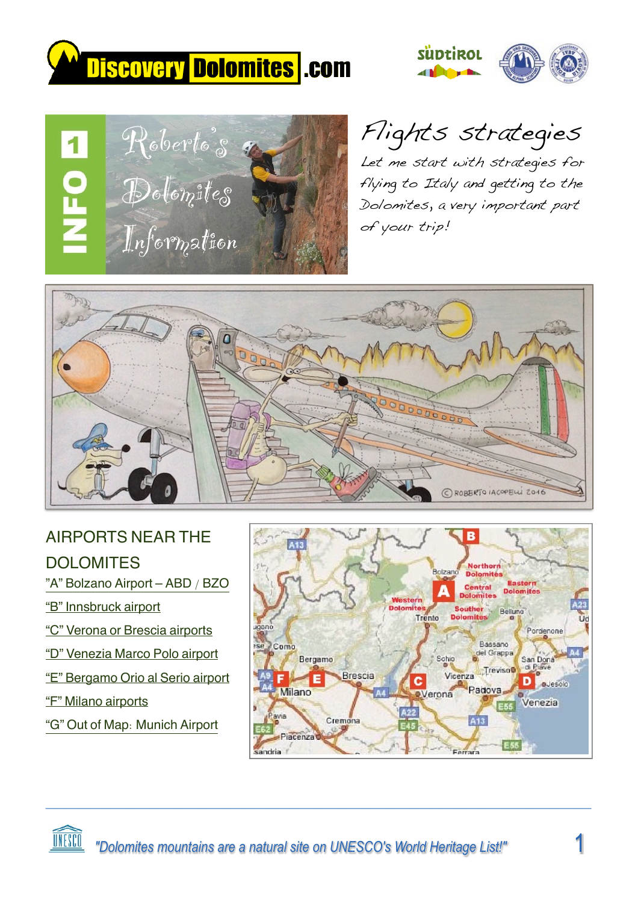





Flights strategies

Let me start with strategies for flying to Italy and getting to the Dolomites, a very important part of your trip!



# AIRPORTS NEAR THE **DOLOMITES**

"A" [Bolzano](http://www.bolzanoairport.it/) Airport – ABD / BZO

- "B" [Innsbruck](https://www.innsbruck-airport.com/en) airport
- "C" Verona or [Brescia](http://www.aeroportoverona.it/passeggeri_t5/) airports
- "D" [Venezia](http://www.veniceairport.it/) Marco Polo airport
- "E" [Bergamo](http://www.milanbergamoairport.it/it/) Orio al Serio airport
- "F" Milano [airports](http://www.milanolinate-airport.com/en)
- "G" Out of Map: [Munich](https://www.munich-airport.com/) Airport



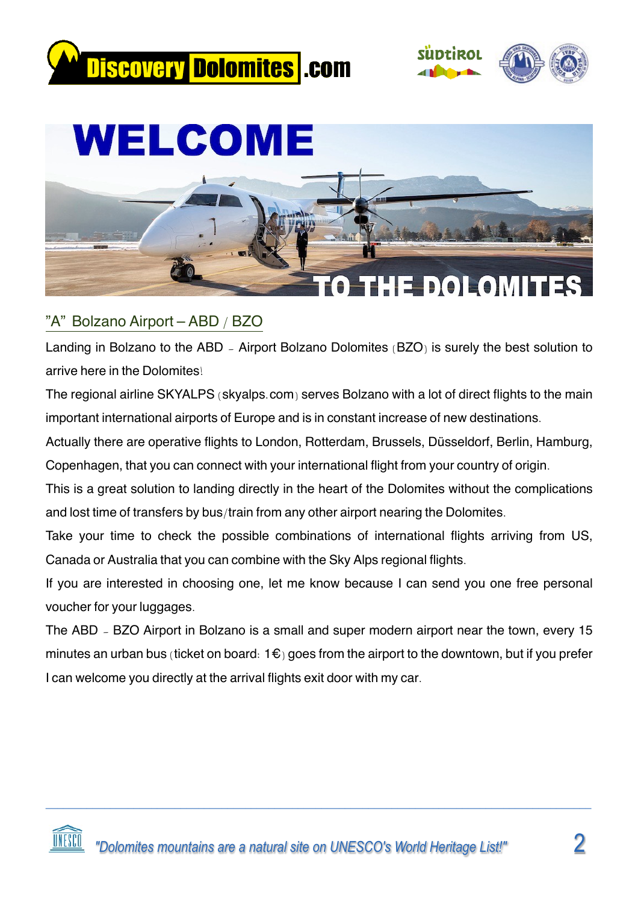





## "A" [Bolzano](http://www.bolzanoairport.it/) Airport – ABD / BZO

Landing in Bolzano to the ABD - Airport Bolzano Dolomites ( $BZO$ ) is surely the best solution to arrive here in the Dolomites!

The regional airline SKYALPS (skyalps.com) serves Bolzano with a lot of direct flights to the main important international airports of Europe and is in constant increase of new destinations.

Actually there are operative flights to London, Rotterdam, Brussels, Düsseldorf, Berlin, Hamburg, Copenhagen, that you can connect with your international flight from your country of origin.

This is a great solution to landing directly in the heart of the Dolomites without the complications and lost time of transfers by bus/train from any other airport nearing the Dolomites.

Take your time to check the possible combinations of international flights arriving from US, Canada or Australia that you can combine with the Sky Alps regional flights.

If you are interested in choosing one, let me know because I can send you one free personal voucher for your luggages.

The ABD - BZO Airport in Bolzano is a small and super modern airport near the town, every 15 minutes an urban bus (ticket on board:  $1\epsilon$ ) goes from the airport to the downtown, but if you prefer I can welcome you directly at the arrival flights exit door with my car.

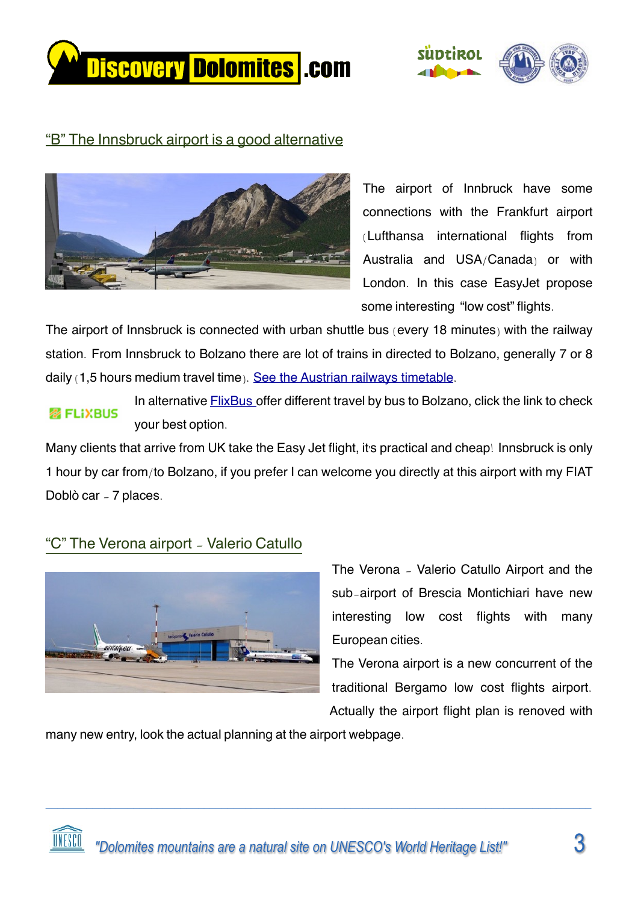



### "B" The Innsbruck airport is a good [alternative](http://www.innsbruck-airport.com/en/)



The airport of Innbruck have some connections with the Frankfurt airport )Lufthansa international flights from Australia and USA/Canada) or with London. In this case EasyJet propose some interesting "low cost" flights.

The airport of Innsbruck is connected with urban shuttle bus (every 18 minutes) with the railway station. From Innsbruck to Bolzano there are lot of trains in directed to Bolzano, generally 7 or 8 daily (1,5 hours medium travel time). [See the Austrian railways timetable](http://www.oebb.at/en/).

In alternative **FlixBus** offer different travel by bus to Bolzano, click the link to check 器 FLIXBUS your best option.

Many clients that arrive from UK take the Easy Jet flight, it's practical and cheap! Innsbruck is only 1 hour by car from/to Bolzano, if you prefer I can welcome you directly at this airport with my FIAT Doblò car - 7 places.

#### "C" The [Verona](http://www.aeroportoverona.it) airport - Valerio Catullo



The Verona - Valerio Catullo Airport and the sub-airport of Brescia Montichiari have new interesting low cost flights with many European cities.

The Verona airport is a new concurrent of the traditional Bergamo low cost flights airport. Actually the airport flight plan is renoved with

many new entry, look the actual planning at the airport webpage.

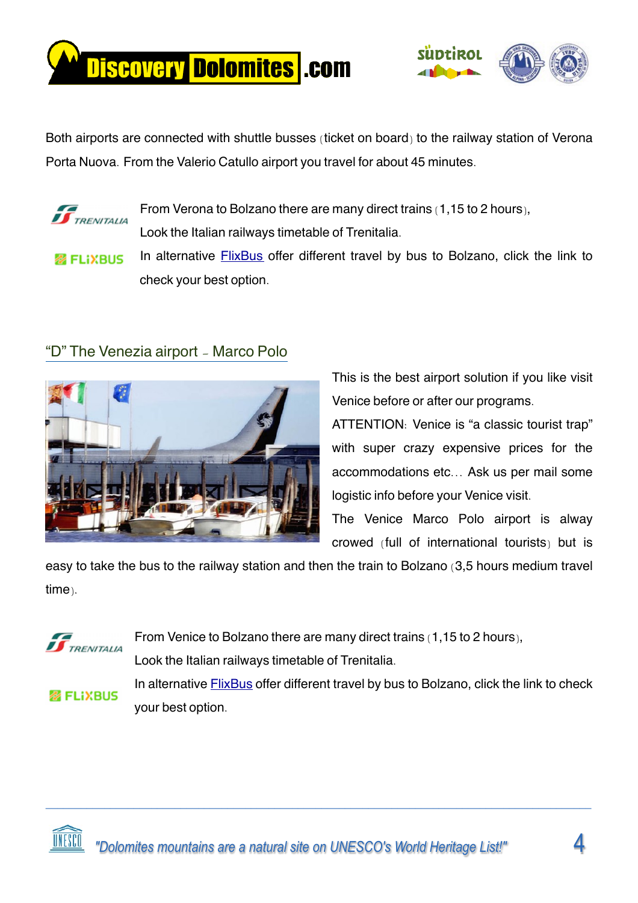



Both airports are connected with shuttle busses (ticket on board) to the railway station of Verona Porta Nuova. From the Valerio Catullo airport you travel for about 45 minutes.



From Verona to Bolzano there are many direct trains  $(1,15$  to 2 hours), Look the Italian railways timetable of Trenitalia.

In alternative **[FlixBus](https://www.flixbus.com/)** offer different travel by bus to Bolzano, click the link to **露 FLIXBUS** check your best option.

#### "D" The [Venezia](http://www.veniceairport.it/) airport - Marco Polo



This is the best airport solution if you like visit Venice before or after our programs.

ATTENTION: Venice is "a classic tourist trap" with super crazy expensive prices for the accommodations etc... Ask us per mail some logistic info before your Venice visit.

The Venice Marco Polo airport is alway crowed  $full$  of international tourists but is

easy to take the bus to the railway station and then the train to Bolzano  $(3,5$  hours medium travel  $time<sub>1</sub>$ .



From Venice to Bolzano there are many direct trains  $(1,15$  to 2 hours), Look the Italian railways timetable of Trenitalia.



In alternative **[FlixBus](https://www.flixbus.com/)** offer different travel by bus to Bolzano, click the link to check your best option.

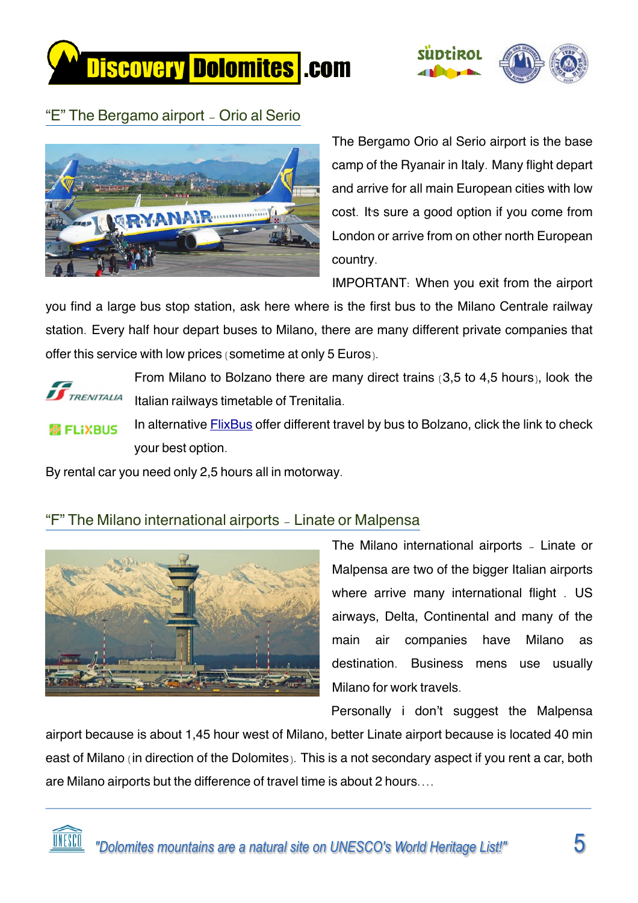



#### "E" The [Bergamo](http://www.sacbo.it) airport - Orio al Serio



The Bergamo Orio al Serio airport is the base camp of the Ryanair in Italy. Many flight depart and arrive for all main European cities with low cost. It's sure a good option if you come from London or arrive from on other north European country.

IMPORTANT: When you exit from the airport

you find a large bus stop station, ask here where is the first bus to the Milano Centrale railway station. Every half hour depart buses to Milano, there are many different private companies that offer this service with low prices (sometime at only 5 Euros).



From Milano to Bolzano there are many direct trains  $(3,5,10,4,5,0)$  hours), look the Italian railways timetable of Trenitalia.

In alternative **[FlixBus](https://www.flixbus.com/)** offer different travel by bus to Bolzano, click the link to check 器 FLIXBUS your best option.

By rental car you need only 2,5 hours all in motorway.

#### "F" The Milano [international](http://www.milanolinate-airport.com/en) airports - Linate or Malpensa



The Milano international airports - Linate or Malpensa are two of the bigger Italian airports where arrive many international flight. US airways, Delta, Continental and many of the main air companies have Milano as destination. Business mens use usually Milano for work travels.

Personally i don't suggest the Malpensa

airport because is about 1,45 hour west of Milano, better Linate airport because is located 40 min east of Milano (in direction of the Dolomites). This is a not secondary aspect if you rent a car, both are Milano airports but the difference of travel time is about 2 hours....